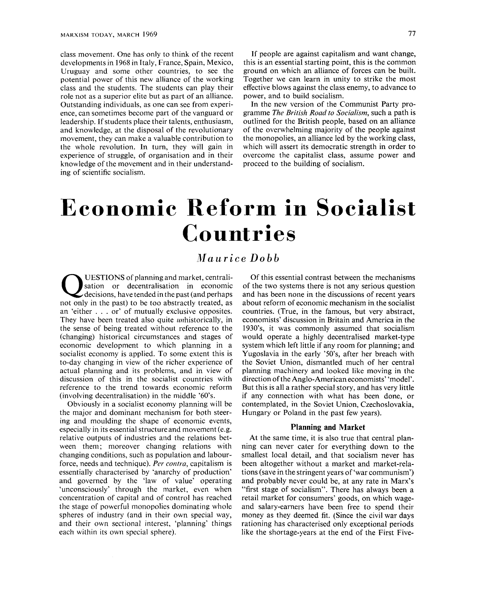class movement. One has only to think of the recent developments in 1968 in Italy, France, Spain, Mexico, Uruguay and some other countries, to see the potential power of this new alliance of the working class and the students. The students can play their role not as a superior elite but as part of an alliance. Outstanding individuals, as one can see from experience, can sometimes become part of the vanguard or leadership. If students place their talents, enthusiasm, and knowledge, at the disposal of the revolutionary movement, they can make a valuable contribution to the whole revolution. In turn, they will gain in experience of struggle, of organisation and in their knowledge of the movement and in their understanding of scientific socialism.

If people are against capitalism and want change, this is an essential starting point, this is the common ground on which an alliance of forces can be built. Together we can learn in unity to strike the most effective blows against the class enemy, to advance to power, and to build socialism.

In the new version of the Communist Party programme *The British Road to Socialism,* such a path is outlined for the British people, based on an alliance of the overwhelming majority of the people against the monopolies, an alliance led by the working class, which will assert its democratic strength in order to overcome the capitalist class, assume power and proceed to the building of socialism.

# Economic Reform in Socialist Countries

## *Maurice Dobb*

Q UESTIONS of planning and market, centralisation or decentralisation in economic decisions, have tended in the past (and perhaps not only in the past) to be too abstractly treated, as an 'either .. . or' of mutually exclusive opposites. They have been treated also quite *un*historically, in the sense of being treated without reference to the (changing) historical circumstances and stages of economic development to which planning in a socialist economy is applied. To some extent this is to-day changing in view of the richer experience of actual planning and its problems, and in view of discussion of this in the socialist countries with reference to the trend towards economic reform (involving decentralisation) in the middle '60's.

Obviously in a socialist economy planning will be the major and dominant mechanism for both steering and moulding the shape of economic events, especially in its essential structureand movement (e.g. relative outputs of industries and the relations between them; moreover changing relations with changing conditions, such as population and labourforce, needs and technique). *Per contra,* capitalism is essentially characterised by 'anarchy of production' and governed by the 'law of value' operating 'unconsciously' through the market, even when concentration of capital and of control has reached the stage of powerful monopolies dominating whole spheres of industry (and in their own special way, and their own sectional interest, 'planning' things each within its own special sphere).

Of this essential contrast between the mechanisms of the two systems there is not any serious question and has been none in the discussions of recent years about reform of economic mechanism in the socialist countries. (True, in the famous, but very abstract, economists' discussion in Britain and America in the 1930's, it was commonly assumed that socialism would operate a highly decentralised market-type system which left little if any room for planning; and Yugoslavia in the early '50's, after her breach with the Soviet Union, dismantled much of her central planning machinery and looked like moving in the direction of the Anglo-American economists' 'model'. But this is all a rather special story, and has very little if any connection with what has been done, or contemplated, in the Soviet Union, Czechoslovakia, Hungary or Poland in the past few years).

#### **Planning and Market**

At the same time, it is also true that central planning can never cater for everything down to the smallest local detail, and that socialism never has been altogether without a market and market-relations (save in the stringent years of 'war communism') and probably never could be, at any rate in Marx's "first stage of socialism". There has always been a retail market for consumers' goods, on which wageand salary-earners have been free to spend their money as they deemed fit. (Since the civil war days rationing has characterised only exceptional periods like the shortage-years at the end of the First Five-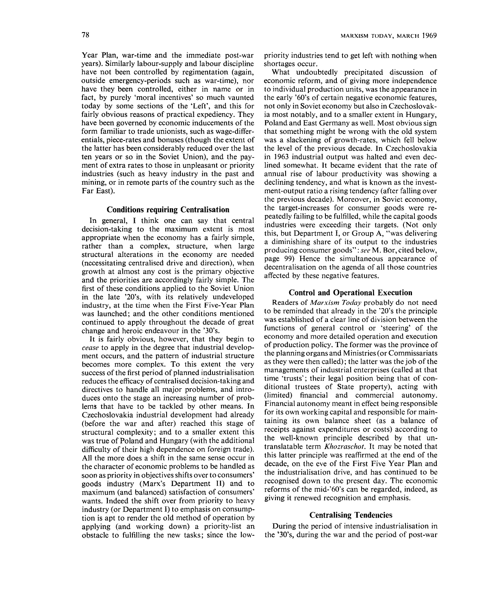Year Plan, war-time and the immediate post-war years). Similarly labour-supply and labour discipline have not been controlled by regimentation (again, outside emergency-periods such as war-time), nor have they been controlled, either in name or in fact, by purely 'moral incentives' so much vaunted today by some sections of the 'Left', and this for fairly obvious reasons of practical expediency. They have been governed by economic inducements of the form familiar to trade unionists, such as wage-differentials, piece-rates and bonuses (though the extent of the latter has been considerably reduced over the last ten years or so in the Soviet Union), and the payment of extra rates to those in unpleasant or priority industries (such as heavy industry in the past and mining, or in remote parts of the country such as the Far East).

#### **Conditions requiring Centralisation**

In general, I think one can say that central decision-taking to the maximum extent is most appropriate when the economy has a fairly simple, rather than a complex, structure, when large structural alterations in the economy are needed (necessitating centralised drive and direction), when growth at almost any cost is the primary objective and the priorities are accordingly fairly simple. The first of these conditions applied to the Soviet Union in the late '20's, with its relatively undeveloped industry, at the time when the First Five-Year Plan was launched; and the other conditions mentioned continued to apply throughout the decade of great change and heroic endeavour in the '30's.

It is fairly obvious, however, that they begin to *cease* to apply in the degree that industrial development occurs, and the pattern of industrial structure becomes more complex. To this extent the very success of the first period of planned industrialisation reduces the efficacy of centralised decision-taking and directives to handle all major problems, and introduces onto the stage an increasing number of problems that have to be tackled by other means. In Czechoslovakia industrial development had already (before the war and after) reached this stage of structural complexity; and to a smaller extent this was true of Poland and Hungary (with the additional difficulty of their high dependence on foreign trade). All the more does a shift in the same sense occur in the character of economic problems to be handled as soon as priority in objectives shifts over to consumers' goods industry (Marx's Department II) and to maximum (and balanced) satisfaction of consumers' wants. Indeed the shift over from priority to heavy industry (or Department I) to emphasis on consumption is apt to render the old method of operation by applying (and working down) a priority-list an obstacle to fulfilling the new tasks; since the lowpriority industries tend to get left with nothing when shortages occur.

What undoubtedly precipitated discussion of economic reform, and of giving more independence to individual production units, was the appearance in the early '60's of certain negative economic features, not only in Soviet economy but also in Czechoslovakia most notably, and to a smaller extent in Hungary, Poland and East Germany as well. Most obvious sign that something might be wrong with the old system was a slackening of growth-rates, which fell below the level of the previous decade. In Czechoslovakia in 1963 industrial output was halted and even declined somewhat. It became evident that the rate of annual rise of labour productivity was showing a declining tendency, and what is known as the investment-output ratio a rising tendency (after falling over the previous decade). Moreover, in Soviet economy, the target-increases for consumer goods were repeatedly failing to be fulfilled, while the capital goods industries were exceeding their targets. (Not only this, but Department I, or Group A, "was delivering a diminishing share of its output to the industries producing consumer goods": *see* M. Bor, cited below, page 99) Hence the simultaneous appearance of decentralisation on the agenda of all those countries affected by these negative features.

#### **Control and Operational Execution**

Readers of *Marxism Today* probably do not need to be reminded that already in the '20's the principle was established of a clear line of division between the functions of general control or 'steering' of the economy and more detailed operation and execution of production policy. The former was the province of the planning organs and Ministries (or Commissariats as they were then called); the latter was the job of the managements of industrial enterprises (called at that time "trusts"; their legal position being that of conditional trustees of State property), acting with (limited) financial and commercial autonomy. Financial autonomy meant in effect being responsible for its own working capital and responsible for maintaining its own balance sheet (as a balance of receipts against expenditures or costs) according to the well-known principle described by that untranslatable term *Khozraschot.* It may be noted that this latter principle was reaffirmed at the end of the decade, on the eve of the First Five Year Plan and the industrialisation drive, and has continued to be recognised down to the present day. The economic reforms of the mid-'60"s can be regarded, indeed, as giving it renewed recognition and emphasis.

#### **Centralising Tendencies**

During the period of intensive industrialisation in the '30's, during the war and the period of post-war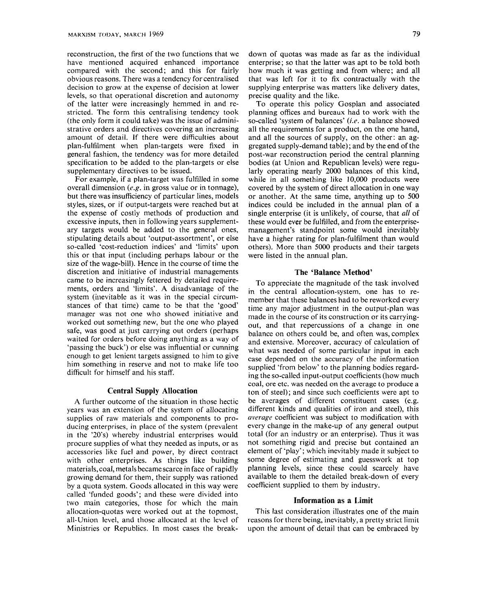reconstruction, the first of the two functions that we have mentioned acquired enhanced importance compared with the second; and this for fairly obvious reasons. There was a tendency for centralised decision to grow at the expense of decision at lower levels, so that operational discretion and autonomy of the latter were increasingly hemmed in and restricted. The form this centralising tendency took (the only form it could take) was the issue of administrative orders and directives covering an increasing amount of detail. If there were difficulties about plan-fulfilment when plan-targets were fixed in general fashion, the tendency was for more detailed specification to be added to the plan-targets or else supplementary directives to be issued.

For example, if a plan-target was fulfilled in some overall dimension *{e.g.* in gross value or in tonnage), but there was insufliciency of particular lines, models styles, sizes, or if output-targets were reached but at the expense of costly methods of production and excessive inputs, then in following years supplementary targets would be added to the general ones, stipulating details about 'output-assortment', or else so-called 'cost-reduction indices' and 'limits' upon this or that input (including perhaps labour or the size of the wage-bill). Hence in the course of time the discretion and initiative of industrial managements came to be increasingly fettered by detailed requirements, orders and 'limits'. A disadvantage of the system (inevitable as it was in the special circumstances of that time) came to be that the 'good' manager was not one who showed initiative and worked out something new, but the one who played safe, was good at just carrying out orders (perhaps waited for orders before doing anything as a way of 'passing the buck') or else was influential or cunning enough to get lenient targets assigned to him to give him something in reserve and not to make life too difficult for himself and his staff.

### **Central Supply Allocation**

A further outcome of the situation in those hectic years was an extension of the system of allocating supplies of raw materials and components to producing enterprises, in place of the system (prevalent in the '20's) whereby industrial enterprises would procure supplies of what they needed as inputs, or as accessories like fuel and power, by direct contract with other enterprises. As things like building materials, coal, metals became scarce in face of rapidly growing demand for them, their supply was rationed by a quota system. Goods allocated in this way were called 'funded goods'; and these were divided into two main categories, those for which the main allocation-quotas were worked out at the topmost, all-Union level, and those allocated at the level of Ministries or Republics. In most cases the breakdown of quotas was made as far as the individual enterprise; so that the latter was apt to be told both how much it was getting and from where; and all that was left for it to fix contractually with the supplying enterprise was matters like delivery dates, precise quality and the like.

To operate this policy Gosplan and associated planning offices and bureaux had to work with the so-called 'system of balances' *(i.e.* a balance showed all the requirements for a product, on the one hand, and all the sources of supply, on the other: an aggregated supply-demand table); and by the end of the post-war reconstruction period the central planning bodies (at Union and Republican levels) were regularly operating nearly 2000 balances of this kind, while in all something like 10,000 products were covered by the system of direct allocation in one way or another. At the same time, anything up to 500 indices could be included in the annual plan of a single enterprise (it is unlikely, of course, that *all* of these would ever be fulfilled, and from the enterprisemanagement's standpoint some would inevitably have a higher rating for plan-fulfilment than would others). More than 5000 products and their targets were listed in the annual plan.

#### **The 'Balance Method'**

To appreciate the magnitude of the task involved in the central allocation-system, one has to remember that these balances had to be reworked every time any major adjustment in the output-plan was made in the course of its construction or its carryingout, and that repercussions of a change in one balance on others could be, and often was, complex and extensive. Moreover, accuracy of calculation of what was needed of some particular input in each case depended on the accuracy of the information supplied 'from below' to the planning bodies regarding the so-called input-output coefficients (how much coal, ore etc. was needed on the average to produce a ton of steel); and since such coefficients were apt to be averages of different constituent cases (e.g. different kinds and qualities of iron and steel), this *average* coefficient was subject to modification with every change in the make-up of any general output total (for an industry or an enterprise). Thus it was not something rigid and precise but contained an element of 'play'; which inevitably made it subject to some degree of estimating and guesswork at top planning levels, since these could scarcely have available to them the detailed break-down of every coefficient supplied to them by industry.

#### **Information as a Limit**

This last consideration illustrates one of the main reasons for there being, inevitably, a pretty strict limit upon the amount of detail that can be embraced by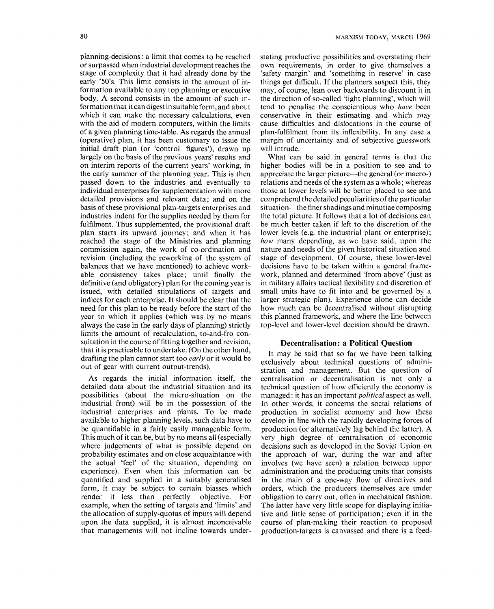planning-decisions: a limit that comes to be reached or surpassed when industrial development reaches the stage of complexity that it had already done by the early '50's. This limit consists in the amount of information available to any top planning or executive body. A second consists in the amount of such information that it can digest in suitable form, and about which it can make the necessary calculations, even with the aid of modern computers, within the limits of a given planning time-table. As regards the annual (operative) plan, it has been customary to issue the initial draft plan (or 'control figures'), drawn up largely on the basis of the previous years' results and on interim reports of the current years' working, in the early summer of the planning year. This is then passed down to the industries and eventually to

individual enterprises for supplementation with more detailed provisions and relevant data; and on the basis of these provisional plan-targets enterprises and industries indent for the supplies needed by them for fulfilment. Thus supplemented, the provisional draft plan starts its upward journey; and when it has reached the stage of the Ministries and planning commission again, the work of co-ordination and revision (including the reworking of the system of balances that we have mentioned) to achieve workable consistency takes place; until finally the definitive (and obligatory) plan for the coming year is issued, with detailed stipulations of targets and indices for each enterprise. It should be clear that the need for this plan to be ready before the start of the need for this plan to be ready before the start of the year to which it applies (which was by no means always the case in the early days of planning) strictly limits the amount of recalculation, to-and-fro consultation in the course of fitting together and revision, that it is practicable to undertake. (On the other hand, drafting the plan cannot start too *early* or it would be out of gear with current output-trends).

As regards the initial information itself, the detailed data about the industrial situation and its possitiilities (about the micro-situation on the industrial front) will be in the possession of the industrial enterprises and plants. To be made available to higher planning levels, such data have to be quantifiable in a fairly easily manageable form. This much of it can be, but by no means all (especially where judgements of what is possible depend on probability estimates and on close acquaintance with the actual 'feel' of the situation, depending on experience). Even when this information can be quantified and supplied in a suitably generalised form, it may be subject to certain biasses which render it less than perfectly objective. For example, when the setting of targets and 'limits' and the allocation of supply-quotas of inputs will depend upon the data supplied, it is almost inconceivable that managements will not incline towards under-

stating productive possibilities and overstating their own requirements, in order to give themselves a 'safety margin' and 'something in reserve' in case things get difficult. If the planners suspect this, they may, of course, lean over backwards to discount it in the direction of so-called 'tight planning', which will tend to penalise the conscientious who *have* been conservative in their estimating and which may cause difficulties and dislocations in the course of plan-fulfilment from its inflexibility. In any case a margin of uncertainty and of subjective guesswork will intrude.

What can be said in general terms is that the higher bodies will be in a position to see and to appreciate the larger picture—the general (or macro-) relations and needs of the system as a whole; whereas those at lower levels will be better placed to see and comprehend the detailed peculiarities of the particular situation—the finer shadings and minutiae composing the total picture. It follows that a lot of decisions can be much better taken if left to the discretion of the lower levels (e.g. the industrial plant or enterprise); *how* many depending, as we have said, upon the nature and needs of the given historical situation and stage of development. Of course, these lower-level decisions have to be taken within a general framework, planned and determined 'from above' (just as in military affairs tactical flexibility and discretion of small units have to fit into and be governed by a larger strategic plan). Experience alone can decide how much can be decentralised without disrupting this planned framework, and where the line between top-level and lower-level decision should be drawn.

#### **Decentralisation: a Political Question**

It may be said that so far we have been talking exclusively about technical questions of administration and management. But the question of centralisation or decentralisation is not only a technical question of how efficiently the economy is managed: it has an important *political* aspect as well. In other words, it concerns the social relations of production in socialist economy and how these develop in line with the rapidly developing forces of production (or alternatively lag behind the latter). A very high degree of centralisation of economic decisions such as developed in the Soviet Union on the approach of war, during the war and after involves (we have seen) a relation between upper administration and the producing units that consists in the main of a one-way flow of directives and orders, which the producers themselves are under obligation to carry out, often in mechanical fashion. The latter have very little scope for displaying initiative and little sense of participation; even if in the course of plan-making their reaction to proposed production-targets is canvassed and there is a feed-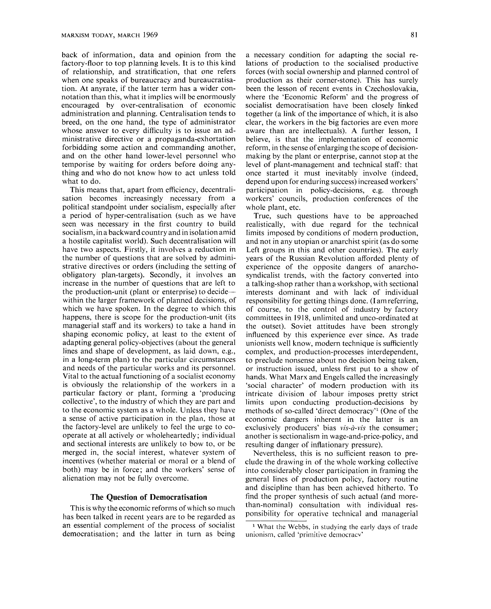back of information, data and opinion from the factory-floor to top planning levels. It is to this kind of relationship, and stratification, that one refers when one speaks of bureaucracy and bureaucratisation. At anyrate, if the latter term has a wider connotation than this, what it implies will be enormously encouraged by over-centralisation of economic administration and planning. Centralisation tends to breed, on the one hand, the type of administrator whose answer to every difficulty is to issue an administrative directive or a propaganda-exhortation forbidding some action and commanding another, and on the other hand lower-level personnel who temporise by waiting for orders before doing anything and who do not know how to act unless told what to do.

This means that, apart from efficiency, decentralisation becomes increasingly necessary from a political standpoint under socialism, especially after a period of hyper-centralisation (such as we have seen was necessary in the first country to build socialism, in a backward country and in isolation amid a hostile capitalist world). Such decentralisation will have two aspects. Firstly, it involves a reduction in the number of questions that are solved by administrative directives or orders (including the setting of obligatory plan-targets). Secondly, it involves an increase in the number of questions that are left to the production-unit (plant or enterprise) to decide within the larger framework of planned decisions, of which we have spoken. In the degree to which this happens, there is scope for the production-unit (its managerial staff and its workers) to take a hand in shaping economic policy, at least to the extent of adapting general policy-objectives (about the general lines and shape of development, as laid down, e.g., in a long-term plan) to the particular circumstances and needs of the particular works and its personnel. Vital to the actual functioning of a socialist economy is obviously the relationship of the workers in a particular factory or plant, forming a 'producing collective', to the industry of which they are part and to the economic system as a whole. Unless they have a sense of active participation in the plan, those at the factory-level are unlikely to feel the urge to cooperate at all actively or wholeheartedly; individual and sectional interests are unlikely to bow to, or be merged in, the social interest, whatever system of incentives (whether material or moral or a blend of both) may be in force; and the workers' sense of alienation may not be fully overcome.

#### **The Question of Democratisation**

This is why the economic reforms of which so much has been talked in recent years are to be regarded as an essential complement of the process of socialist democratisation; and the latter in turn as being

a necessary condition for adapting the social relations of production to the socialised productive forces (with social ownership and planned control of production as their corner-stone). This has surely been the lesson of recent events in Czechoslovakia, where the 'Economic Reform' and the progress of socialist democratisation have been closely linked together (a link of the importance of which, it is also clear, the workers in the big factories are even more aware than are intellectuals). A further lesson, I believe, is that the implementation of economic reform, in the sense of enlarging the scope of decisionmaking by the plant or enterprise, cannot stop at the level of plant-management and technical staff: that once started it must inevitably involve (indeed, depend upon for enduring success) increased workers' participation in policy-decisions, e.g. through workers' councils, production conferences of the whole plant, etc.

True, such questions have to be approached realistically, with due regard for the technical limits imposed by conditions of modern production, and not in any utopian or anarchist spirit (as do some Left groups in this and other countries). The early years of the Russian Revolution afforded plenty of experience of the opposite dangers of anarchosyndicalist trends, with the factory converted into a talking-shop rather than a workshop, with sectional interests dominant and with lack of individual responsibility for getting things done. (I am referring, of course, to the control of industry by factory committees in 1918, unlimited and unco-ordinated at the outset). Soviet attitudes have been strongly influenced by this experience ever since. As trade unionists well know, modern technique is sufficiently complex, and production-processes interdependent, to preclude nonsense about no decision being taken, or instruction issued, unless first put to a show of hands. What Marx and Engels called the increasingly 'social character' of modern production with its intricate division of labour imposes pretty strict limits upon conducting production-decisions by methods of so-called 'direct democracy'<sup>1</sup> (One of the economic dangers inherent in the latter is an exclusively producers' bias *vis-a-vis* the consumer; another is sectionalism in wage-and-price-policy, and resulting danger of inflationary pressure).

Nevertheless, this is no sufficient reason to preclude the drawing in of the whole working collective into considerably closer participation in framing the general lines of production policy, factory routine and discipline than has been achieved hitherto. To find the proper synthesis of such actual (and morethan-nominal) consultation with individual responsibility for operative technical and managerial

<sup>&</sup>lt;sup>1</sup> What the Webbs, in studying the early days of trade unionism, called 'primitive democracv'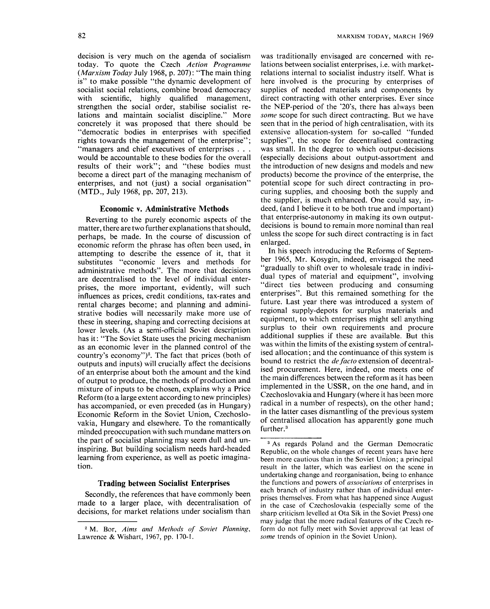decision is very much on the agenda of socialism today. To quote the Czech *Action Programme {Marxism Today* July 1968, p. 207): "The main thing is" to make possible "the dynamic development of socialist social relations, combine broad democracy with scientific, highly qualified management, strengthen the social order, stabilise socialist relations and maintain socialist discipline." More concretely it was proposed that there should be "democratic bodies in enterprises with specified rights towards the management of the enterprise"; "managers and chief executives of enterprises . . . would be accountable to these bodies for the overall results of their work"; and "these bodies must become a direct part of the managing mechanism of enterprises, and not (just) a social organisation" (MTD., July 1968, pp. 207, 213).

#### **Economic v. Administrative Methods**

Reverting to the purely economic aspects of the matter, there are two further explanations that should, perhaps, be made. In the course of discussion of economic reform the phrase has often been used, in attempting to describe the essence of it, that it substitutes "economic levers and methods for administrative methods". The more that decisions are decentralised to the level of individual enterprises, the more important, evidently, will such influences as prices, credit conditions, tax-rates and rental charges become; and planning and administrative bodies will necessarily make more use of these in steering, shaping and correcting decisions at lower levels. (As a semi-official Soviet description has it: "The Soviet State uses the pricing mechanism as an economic lever in the planned control of the country's economy" $)^2$ . The fact that prices (both of outputs and inputs) will crucially affect the decisions of an enterprise about both the amount and the kind of output to produce, the methods of production and mixture of inputs to be chosen, explains why a Price Reform (to a large extent according to new principles) has accompanied, or even preceded (as in Hungary) Economic Reform in the Soviet Union, Czechoslovakia, Hungary and elsewhere. To the romantically minded preoccupation with such mundane matters on the part of socialist planning may seem dull and uninspiring. But building socialism needs hard-headed learning from experience, as well as poetic imagination.

#### **Trading between Socialist Enterprises**

Secondly, the references that have commonly been made to a larger place, with decentralisation of decisions, for market relations under socialism than

was traditionally envisaged are concerned with relations between socialist enterprises, i.e. with marketrelations internal to socialist industry itself. What is here involved is the procuring by enterprises of supplies of needed materials and components by direct contracting with other enterprises. Ever since the NEP-period of the '20's, there has always been *some* scope for such direct contracting. But we have seen that in the period of high centralisation, with its extensive allocation-system for so-called "funded supplies", the scope for decentralised contracting was small. In the degree to which output-decisions (especially decisions about output-assortment and the introduction of new designs and models and new products) become the province of the enterprise, the potential scope for such direct contracting in procuring supplies, and choosing both the supply and the supplier, is much enhanced. One could say, indeed, (and I believe it to be both true and important) that enterprise-autonomy in making its own outputdecisions is bound to remain more nominal than real unless the scope for such direct contracting is in fact enlarged.

In his speech introducing the Reforms of September 1965, Mr. Kosygin, indeed, envisaged the need "gradually to shift over to wholesale trade in individual types of material and equipment", involving "direct ties between producing and consuming enterprises". But this remained something for the future. Last year there was introduced a system of regional supply-depots for surplus materials and equipment, to which enterprises might sell anything surplus to their own requirements and procure additional supplies if these are available. But this was within the limits of the existing system of centralised allocation; and the continuance of this system is bound to restrict the *de facto* extension of decentralised procurement. Here, indeed, one meets one of the main differences between the reform as it has been implemented in the USSR, on the one hand, and in Czechoslovakia and Hungary (where it has been more radical in a number of respects), on the other hand; in the latter cases dismantling of the previous system of centralised allocation has apparently gone much further.<sup>3</sup>

<sup>^</sup> M. Bor, *Aims and Methods of Soviet Planning,*  Lawrence & Wishart, 1967, pp. 170-L

<sup>&</sup>lt;sup>3</sup> As regards Poland and the German Democratic Republic, on the whole changes of recent years have here been more cautious than in the Soviet Union; a principal result in the latter, which was earliest on the scene in undertaking change and reorganisation, being to enhance the functions and powers *of associations* of enterprises in each branch of industry rather than of individual enterprises themselves. From what has happened since August in the case of Czechoslovakia (especially some of the sharp criticism levelled at Ota Sik in the Soviet Press) one may judge that the more radical features of the Czech reform do not fully meet with Soviet approval (at least of *some* trends of opinion in the Soviet Union).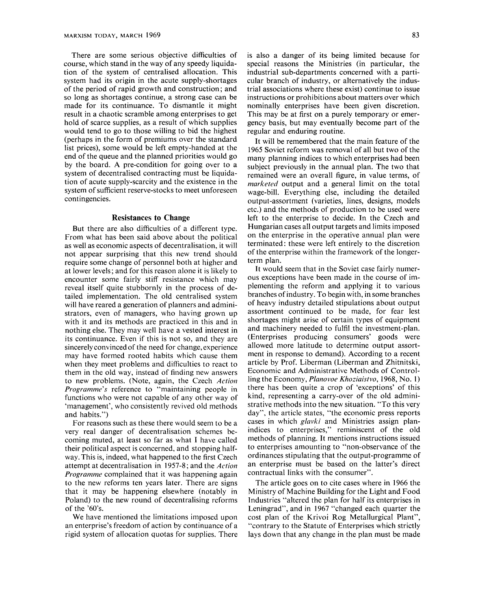There are some serious objective difficulties of course, which stand in the way of any speedy liquidation of the system of centralised allocation. This system had its origin in the acute supply-shortages of the period of rapid growth and construction; and so long as shortages continue, a strong case can be made for its continuance. To dismantle it might result in a chaotic scramble among enterprises to get hold of scarce supplies, as a result of which supplies would tend to go to those willing to bid the highest (perhaps in the form of premiums over the standard list prices), some would be left empty-handed at the end of the queue and the planned priorities would go by the board. A pre-condition for going over to a system of decentralised contracting must be liquidation of acute supply-scarcity and the existence in the system of sufficient reserve-stocks to meet unforeseen contingencies.

#### **Resistances to Change**

But there are also difficulties of a different type. From what has been said above about the political as well as economic aspects of decentralisation, it will not appear surprising that this new trend should require some change of personnel both at higher and at lower levels; and for this reason alone it is likely to encounter some fairly stiff resistance which may reveal itself quite stubbornly in the process of detailed implementation. The old centralised system will have reared a generation of planners and administrators, even of managers, who having grown up with it and its methods are practiced in this and in nothing else. They may well have a vested interest in its continuance. Even if this is not so, and they are sincerely convinced of the need for change, experience may have formed rooted habits which cause them when they meet problems and difficulties to react to them in the old way, instead of finding new answers to new problems. (Note, again, the Czech *Action Programme's* reference to "maintaining people in functions who were not capable of any other way of 'management', who consistently revived old methods and habits.")

For reasons such as these there would seem to be a very real danger of decentralisation schemes becoming muted, at least so far as what I have called their political aspect is concerned, and stopping halfway. This is, indeed, what happened to the first Czech attempt at decentralisation in 1957-8; and the *Action Programme* complained that it was happening again to the new reforms ten years later. There are signs that it may be happening elsewhere (notably in Poland) to the new round of decentralising reforms of the '60's.

We have mentioned the limitations imposed upon an enterprise's freedom of action by continuance of a rigid system of allocation quotas for supplies. There

is also a danger of its being limited because for special reasons the Ministries (in particular, the industrial sub-departments concerned with a particular branch of industry, or alternatively the industrial associations where these exist) continue to issue instructions or prohibitions about matters over which nominally enterprises have been given discretion. This may be at first on a purely temporary or emergency basis, but may eventually become part of the regular and enduring routine.

It will be remembered that the main feature of the 1965 Soviet reform was removal of all but two of the many planning indices to which enterprises had been subject previously in the annual plan. The two that remained were an overall figure, in value terms, of *marketed* output and a general limit on the total wage-bill. Everything else, including the detailed output-assortment (varieties, lines, designs, models etc.) and the methods of production to be used were left to the enterprise to decide. In the Czech and Hungarian cases all output targets and limits imposed on the enterprise in the operative annual plan were terminated: these were left entirely to the discretion of the enterprise within the framework of the longerterm plan.

It would seem that in the Soviet case fairly numerous exceptions have been made in the course of implementing the reform and applying it to various branches of industry. To begin with, in some branches of heavy industry detailed stipulations about output assortment continued to be made, for fear lest shortages might arise of certain types of equipment and machinery needed to fulfil the investment-plan. (Enterprises producing consumers' goods were allowed more latitude to determine output assortment in response to demand). According to a recent article by Prof. Liberman (Liberman and Zhitnitski, Economic and Administrative Methods of Controlling the Economy, *Planovoe Khoziaistvo,* 1968, No. 1) there has been quite a crop of 'exceptions' of this kind, representing a carry-over of the old administrative methods into the new situation. "To this very day", the article states, "the economic press reports cases in which *glavki* and Ministries assign planindices to enterprises," reminiscent of the old methods of planning. It mentions instructions issued to enterprises amounting to "non-observance of the ordinances stipulating that the output-programme of an enterprise must be based on the latter's direct contractual links with the consumer".

The article goes on to cite cases where in 1966 the Ministry of Machine Building for the Light and Food Industries "altered the plan for half its enterprises in Leningrad", and in 1967 "changed each quarter the cost plan of the Krivoi Rog Metallurgical Plant", "contrary to the Statute of Enterprises which strictly lays down that any change in the plan must be made